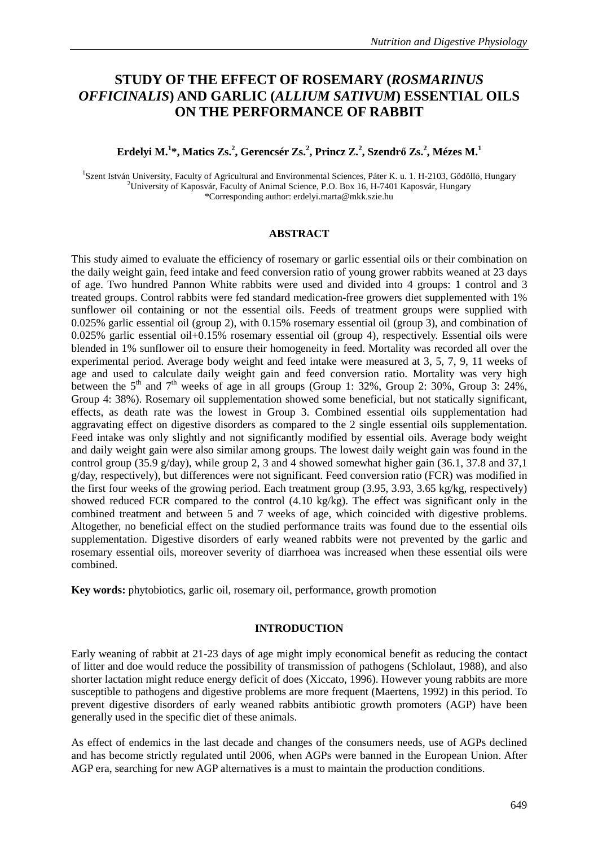# **STUDY OF THE EFFECT OF ROSEMARY (***ROSMARINUS OFFICINALIS***) AND GARLIC (***ALLIUM SATIVUM***) ESSENTIAL OILS ON THE PERFORMANCE OF RABBIT**

## **Erdelyi M.<sup>1</sup> \*, Matics Zs.<sup>2</sup> , Gerencsér Zs.<sup>2</sup> , Princz Z.<sup>2</sup> , Szendr**ı **Zs.<sup>2</sup> , Mézes M.<sup>1</sup>**

<sup>1</sup>Szent István University, Faculty of Agricultural and Environmental Sciences, Páter K. u. 1. H-2103, Gödöllő, Hungary <sup>2</sup>University of Kaposvár, Faculty of Animal Science, P.O. Box 16, H-7401 Kaposvár, Hungary \*Corresponding author: erdelyi.marta@mkk.szie.hu

#### **ABSTRACT**

This study aimed to evaluate the efficiency of rosemary or garlic essential oils or their combination on the daily weight gain, feed intake and feed conversion ratio of young grower rabbits weaned at 23 days of age. Two hundred Pannon White rabbits were used and divided into 4 groups: 1 control and 3 treated groups. Control rabbits were fed standard medication-free growers diet supplemented with 1% sunflower oil containing or not the essential oils. Feeds of treatment groups were supplied with 0.025% garlic essential oil (group 2), with 0.15% rosemary essential oil (group 3), and combination of 0.025% garlic essential oil+0.15% rosemary essential oil (group 4), respectively. Essential oils were blended in 1% sunflower oil to ensure their homogeneity in feed. Mortality was recorded all over the experimental period. Average body weight and feed intake were measured at 3, 5, 7, 9, 11 weeks of age and used to calculate daily weight gain and feed conversion ratio. Mortality was very high between the  $5<sup>th</sup>$  and  $7<sup>th</sup>$  weeks of age in all groups (Group 1: 32%, Group 2: 30%, Group 3: 24%, Group 4: 38%). Rosemary oil supplementation showed some beneficial, but not statically significant, effects, as death rate was the lowest in Group 3. Combined essential oils supplementation had aggravating effect on digestive disorders as compared to the 2 single essential oils supplementation. Feed intake was only slightly and not significantly modified by essential oils. Average body weight and daily weight gain were also similar among groups. The lowest daily weight gain was found in the control group (35.9 g/day), while group 2, 3 and 4 showed somewhat higher gain (36.1, 37.8 and 37,1 g/day, respectively), but differences were not significant. Feed conversion ratio (FCR) was modified in the first four weeks of the growing period. Each treatment group (3.95, 3.93, 3.65 kg/kg, respectively) showed reduced FCR compared to the control (4.10 kg/kg). The effect was significant only in the combined treatment and between 5 and 7 weeks of age, which coincided with digestive problems. Altogether, no beneficial effect on the studied performance traits was found due to the essential oils supplementation. Digestive disorders of early weaned rabbits were not prevented by the garlic and rosemary essential oils, moreover severity of diarrhoea was increased when these essential oils were combined.

**Key words:** phytobiotics, garlic oil, rosemary oil, performance, growth promotion

### **INTRODUCTION**

Early weaning of rabbit at 21-23 days of age might imply economical benefit as reducing the contact of litter and doe would reduce the possibility of transmission of pathogens (Schlolaut, 1988), and also shorter lactation might reduce energy deficit of does (Xiccato, 1996). However young rabbits are more susceptible to pathogens and digestive problems are more frequent (Maertens, 1992) in this period. To prevent digestive disorders of early weaned rabbits antibiotic growth promoters (AGP) have been generally used in the specific diet of these animals.

As effect of endemics in the last decade and changes of the consumers needs, use of AGPs declined and has become strictly regulated until 2006, when AGPs were banned in the European Union. After AGP era, searching for new AGP alternatives is a must to maintain the production conditions.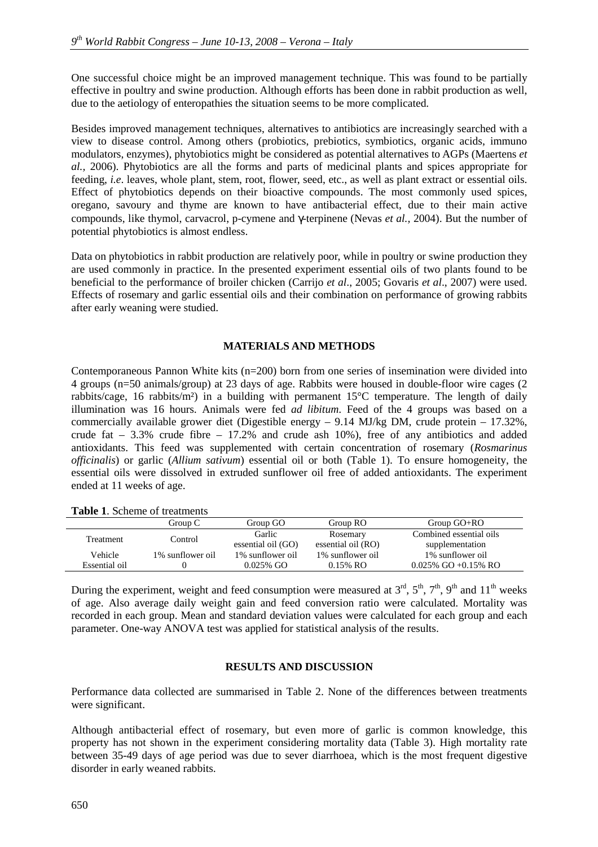One successful choice might be an improved management technique. This was found to be partially effective in poultry and swine production. Although efforts has been done in rabbit production as well, due to the aetiology of enteropathies the situation seems to be more complicated.

Besides improved management techniques, alternatives to antibiotics are increasingly searched with a view to disease control. Among others (probiotics, prebiotics, symbiotics, organic acids, immuno modulators, enzymes), phytobiotics might be considered as potential alternatives to AGPs (Maertens *et al.,* 2006). Phytobiotics are all the forms and parts of medicinal plants and spices appropriate for feeding, *i.e*. leaves, whole plant, stem, root, flower, seed, etc., as well as plant extract or essential oils. Effect of phytobiotics depends on their bioactive compounds. The most commonly used spices, oregano, savoury and thyme are known to have antibacterial effect, due to their main active compounds, like thymol, carvacrol, p-cymene and γ-terpinene (Nevas *et al.,* 2004). But the number of potential phytobiotics is almost endless.

Data on phytobiotics in rabbit production are relatively poor, while in poultry or swine production they are used commonly in practice. In the presented experiment essential oils of two plants found to be beneficial to the performance of broiler chicken (Carrijo *et al*., 2005; Govaris *et al*., 2007) were used. Effects of rosemary and garlic essential oils and their combination on performance of growing rabbits after early weaning were studied.

### **MATERIALS AND METHODS**

Contemporaneous Pannon White kits (n=200) born from one series of insemination were divided into 4 groups (n=50 animals/group) at 23 days of age. Rabbits were housed in double-floor wire cages (2 rabbits/cage, 16 rabbits/m²) in a building with permanent 15°C temperature. The length of daily illumination was 16 hours. Animals were fed *ad libitum*. Feed of the 4 groups was based on a commercially available grower diet (Digestible energy – 9.14 MJ/kg DM, crude protein – 17.32%, crude fat – 3.3% crude fibre – 17.2% and crude ash 10%), free of any antibiotics and added antioxidants. This feed was supplemented with certain concentration of rosemary (*Rosmarinus officinalis*) or garlic (*Allium sativum*) essential oil or both (Table 1). To ensure homogeneity, the essential oils were dissolved in extruded sunflower oil free of added antioxidants. The experiment ended at 11 weeks of age.

| <b>Tuble 1.</b> Deneme of a camping |                  |                    |                    |                         |  |  |
|-------------------------------------|------------------|--------------------|--------------------|-------------------------|--|--|
|                                     | Group C          | Group GO           | Group RO           | Group $GO+RO$           |  |  |
| <b>Treatment</b>                    | Control          | Garlic             | Rosemary           | Combined essential oils |  |  |
|                                     |                  | essential oil (GO) | essential oil (RO) | supplementation         |  |  |
| Vehicle                             | 1% sunflower oil | 1% sunflower oil   | 1% sunflower oil   | 1% sunflower oil        |  |  |
| Essential oil                       |                  | $0.025\%$ GO       | $0.15\%$ RO        | $0.025\%$ GO +0.15% RO  |  |  |

**Table 1**. Scheme of treatments

During the experiment, weight and feed consumption were measured at  $3^{rd}$ ,  $5^{th}$ ,  $7^{th}$ ,  $9^{th}$  and  $11^{th}$  weeks of age. Also average daily weight gain and feed conversion ratio were calculated. Mortality was recorded in each group. Mean and standard deviation values were calculated for each group and each parameter. One-way ANOVA test was applied for statistical analysis of the results.

### **RESULTS AND DISCUSSION**

Performance data collected are summarised in Table 2. None of the differences between treatments were significant.

Although antibacterial effect of rosemary, but even more of garlic is common knowledge, this property has not shown in the experiment considering mortality data (Table 3). High mortality rate between 35-49 days of age period was due to sever diarrhoea, which is the most frequent digestive disorder in early weaned rabbits.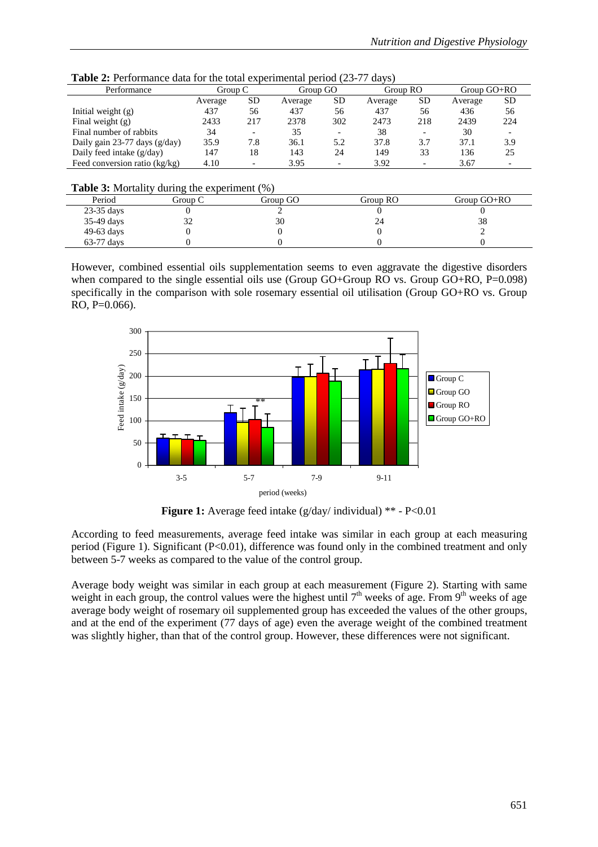| <b>Table 2:</b> Performance data for the total experimental period (23-77 days) |  |  |
|---------------------------------------------------------------------------------|--|--|
|---------------------------------------------------------------------------------|--|--|

| Performance                     | Group C |           | Group GO |                          | Group RO |           | Group $GO+RO$ |           |
|---------------------------------|---------|-----------|----------|--------------------------|----------|-----------|---------------|-----------|
|                                 | Average | <b>SD</b> | Average  | <b>SD</b>                | Average  | <b>SD</b> | Average       | <b>SD</b> |
| Initial weight $(g)$            | 437     | 56        | 437      | 56                       | 437      | 56        | 436           | 56        |
| Final weight $(g)$              | 2433    | 217       | 2378     | 302                      | 2473     | 218       | 2439          | 224       |
| Final number of rabbits         | 34      |           | 35       |                          | 38       | -         | 30            |           |
| Daily gain $23-77$ days (g/day) | 35.9    | 7.8       | 36.1     | 5.2                      | 37.8     | 3.7       | 37.1          | 3.9       |
| Daily feed intake (g/day)       | 147     | 18        | 143      | 24                       | 149      | 33        | 136           | 25        |
| Feed conversion ratio $(kg/kg)$ | 4.10    |           | 3.95     | $\overline{\phantom{0}}$ | 3.92     | -         | 3.67          |           |

**Table 3:** Mortality during the experiment (%)

|              |         | .        |          |               |
|--------------|---------|----------|----------|---------------|
| Period       | Group C | Group GO | Group RO | Group $GO+RO$ |
| $23-35$ days |         |          |          |               |
| 35-49 days   |         | 30       | 24       | 38            |
| $49-63$ days |         |          |          |               |
| $63-77$ days |         |          |          |               |

However, combined essential oils supplementation seems to even aggravate the digestive disorders when compared to the single essential oils use (Group GO+Group RO vs. Group GO+RO, P=0.098) specifically in the comparison with sole rosemary essential oil utilisation (Group GO+RO vs. Group  $RO. P=0.066$ ).



**Figure 1:** Average feed intake (g/day/ individual) \*\* - P<0.01

According to feed measurements, average feed intake was similar in each group at each measuring period (Figure 1). Significant (P<0.01), difference was found only in the combined treatment and only between 5-7 weeks as compared to the value of the control group.

Average body weight was similar in each group at each measurement (Figure 2). Starting with same weight in each group, the control values were the highest until  $7<sup>th</sup>$  weeks of age. From 9<sup>th</sup> weeks of age average body weight of rosemary oil supplemented group has exceeded the values of the other groups, and at the end of the experiment (77 days of age) even the average weight of the combined treatment was slightly higher, than that of the control group. However, these differences were not significant.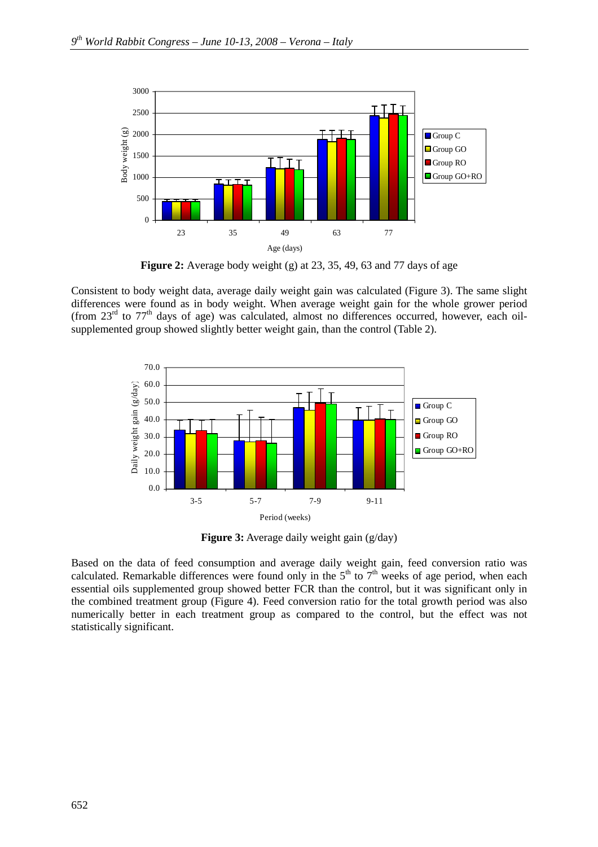

**Figure 2:** Average body weight (g) at 23, 35, 49, 63 and 77 days of age

Consistent to body weight data, average daily weight gain was calculated (Figure 3). The same slight differences were found as in body weight. When average weight gain for the whole grower period (from  $23<sup>rd</sup>$  to  $77<sup>th</sup>$  days of age) was calculated, almost no differences occurred, however, each oilsupplemented group showed slightly better weight gain, than the control (Table 2).



**Figure 3:** Average daily weight gain (g/day)

Based on the data of feed consumption and average daily weight gain, feed conversion ratio was calculated. Remarkable differences were found only in the  $5<sup>th</sup>$  to  $7<sup>th</sup>$  weeks of age period, when each essential oils supplemented group showed better FCR than the control, but it was significant only in the combined treatment group (Figure 4). Feed conversion ratio for the total growth period was also numerically better in each treatment group as compared to the control, but the effect was not statistically significant.